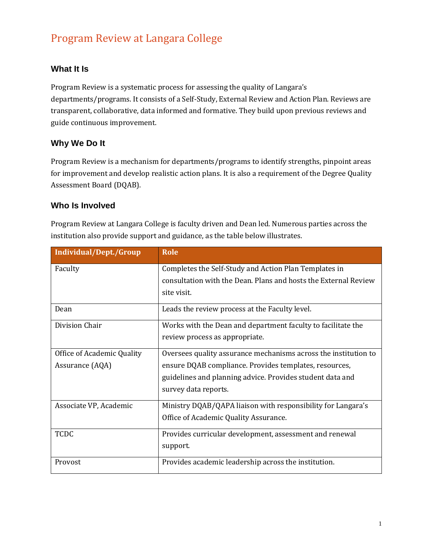# Program Review at Langara College

# **What It Is**

Program Review is a systematic process for assessing the quality of Langara's departments/programs. It consists of a Self-Study, External Review and Action Plan. Reviews are transparent, collaborative, data informed and formative. They build upon previous reviews and guide continuous improvement.

## **Why We Do It**

Program Review is a mechanism for departments/programs to identify strengths, pinpoint areas for improvement and develop realistic action plans. It is also a requirement of the Degree Quality Assessment Board (DQAB).

### **Who Is Involved**

Program Review at Langara College is faculty driven and Dean led. Numerous parties across the institution also provide support and guidance, as the table below illustrates.

| Individual/Dept./Group     | <b>Role</b>                                                     |
|----------------------------|-----------------------------------------------------------------|
| Faculty                    | Completes the Self-Study and Action Plan Templates in           |
|                            | consultation with the Dean. Plans and hosts the External Review |
|                            | site visit.                                                     |
| Dean                       | Leads the review process at the Faculty level.                  |
| Division Chair             | Works with the Dean and department faculty to facilitate the    |
|                            | review process as appropriate.                                  |
| Office of Academic Quality | Oversees quality assurance mechanisms across the institution to |
| Assurance (AQA)            | ensure DQAB compliance. Provides templates, resources,          |
|                            | guidelines and planning advice. Provides student data and       |
|                            | survey data reports.                                            |
| Associate VP, Academic     | Ministry DQAB/QAPA liaison with responsibility for Langara's    |
|                            | Office of Academic Quality Assurance.                           |
| <b>TCDC</b>                | Provides curricular development, assessment and renewal         |
|                            | support.                                                        |
| Provost                    | Provides academic leadership across the institution.            |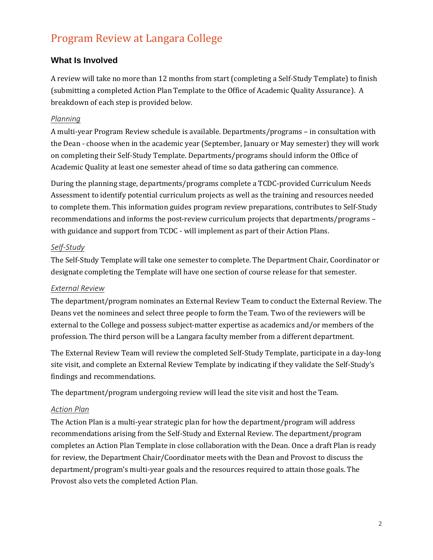# Program Review at Langara College

## **What Is Involved**

A review will take no more than 12 months from start (completing a Self-Study Template) to finish (submitting a completed Action Plan Template to the Office of Academic Quality Assurance). A breakdown of each step is provided below.

#### *Planning*

A multi-year Program Review schedule is available. Departments/programs – in consultation with the Dean - choose when in the academic year (September, January or May semester) they will work on completing their Self-Study Template. Departments/programs should inform the Office of Academic Quality at least one semester ahead of time so data gathering can commence.

During the planning stage, departments/programs complete a TCDC-provided Curriculum Needs Assessment to identify potential curriculum projects as well as the training and resources needed to complete them. This information guides program review preparations, contributes to Self-Study recommendations and informs the post-review curriculum projects that departments/programs – with guidance and support from TCDC - will implement as part of their Action Plans.

#### *Self-Study*

The Self-Study Template will take one semester to complete. The Department Chair, Coordinator or designate completing the Template will have one section of course release for that semester.

#### *External Review*

The department/program nominates an External Review Team to conduct the External Review. The Deans vet the nominees and select three people to form the Team. Two of the reviewers will be external to the College and possess subject-matter expertise as academics and/or members of the profession. The third person will be a Langara faculty member from a different department.

The External Review Team will review the completed Self-Study Template, participate in a day-long site visit, and complete an External Review Template by indicating if they validate the Self-Study's findings and recommendations.

The department/program undergoing review will lead the site visit and host the Team.

#### *Action Plan*

The Action Plan is a multi-year strategic plan for how the department/program will address recommendations arising from the Self-Study and External Review. The department/program completes an Action Plan Template in close collaboration with the Dean. Once a draft Plan is ready for review, the Department Chair/Coordinator meets with the Dean and Provost to discuss the department/program's multi-year goals and the resources required to attain those goals. The Provost also vets the completed Action Plan.